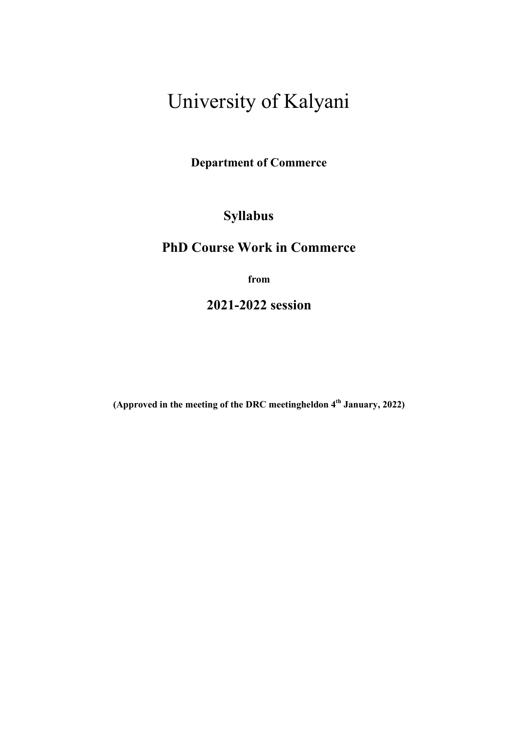# University of Kalyani

Department of Commerce

# Syllabus

# PhD Course Work in Commerce

from

2021-2022 session

(Approved in the meeting of the DRC meetingheldon  $4<sup>th</sup>$  January, 2022)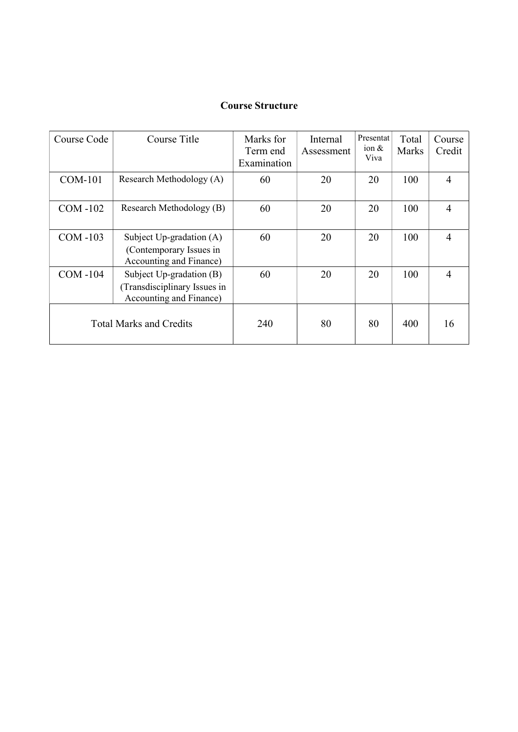# Course Structure

| Course Code                    | Course Title                                                                               | Marks for<br>Term end<br>Examination | Internal<br>Assessment | Presentat<br>ion $&$<br>Viva | Total<br><b>Marks</b> | Course<br>Credit |
|--------------------------------|--------------------------------------------------------------------------------------------|--------------------------------------|------------------------|------------------------------|-----------------------|------------------|
| <b>COM-101</b>                 | Research Methodology (A)                                                                   | 60                                   | 20                     | 20                           | 100                   | $\overline{4}$   |
| $COM-102$                      | Research Methodology (B)                                                                   | 60                                   | 20                     | 20                           | 100                   | 4                |
| $COM-103$                      | Subject $Up\text{-}gradient(A)$<br>(Contemporary Issues in<br>Accounting and Finance)      | 60                                   | 20                     | 20                           | 100                   | 4                |
| $COM-104$                      | Subject $Up\text{-}gradient(B)$<br>(Transdisciplinary Issues in<br>Accounting and Finance) | 60                                   | 20                     | 20                           | 100                   | $\overline{4}$   |
| <b>Total Marks and Credits</b> |                                                                                            | 240                                  | 80                     | 80                           | 400                   | 16               |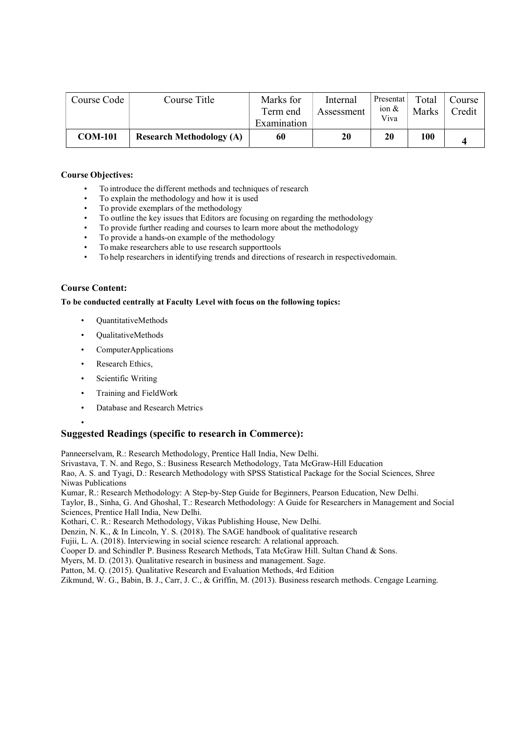| Course Code    | Course Title                    | Marks for<br>Term end<br>Examination | Internal<br>Assessment | Presentat<br>ion $\&$<br>Viva | Total<br>Marks | Course<br>Credit |
|----------------|---------------------------------|--------------------------------------|------------------------|-------------------------------|----------------|------------------|
| <b>COM-101</b> | <b>Research Methodology (A)</b> | 60                                   | 20                     | 20                            | <b>100</b>     |                  |

- To introduce the different methods and techniques of research
- To explain the methodology and how it is used
- To provide exemplars of the methodology
- To outline the key issues that Editors are focusing on regarding the methodology
- To provide further reading and courses to learn more about the methodology
- To provide a hands-on example of the methodology
- To make researchers able to use research supporttools
- To help researchers in identifying trends and directions of research in respectivedomain.

# Course Content:

#### To be conducted centrally at Faculty Level with focus on the following topics:

- QuantitativeMethods
- QualitativeMethods
- ComputerApplications
- Research Ethics,
- Scientific Writing
- Training and FieldWork
- Database and Research Metrics
- •

# Suggested Readings (specific to research in Commerce):

Panneerselvam, R.: Research Methodology, Prentice Hall India, New Delhi.

Srivastava, T. N. and Rego, S.: Business Research Methodology, Tata McGraw-Hill Education

Rao, A. S. and Tyagi, D.: Research Methodology with SPSS Statistical Package for the Social Sciences, Shree Niwas Publications

Kumar, R.: Research Methodology: A Step-by-Step Guide for Beginners, Pearson Education, New Delhi.

Taylor, B., Sinha, G. And Ghoshal, T.: Research Methodology: A Guide for Researchers in Management and Social Sciences, Prentice Hall India, New Delhi.

Kothari, C. R.: Research Methodology, Vikas Publishing House, New Delhi.

Denzin, N. K., & In Lincoln, Y. S. (2018). The SAGE handbook of qualitative research

Fujii, L. A. (2018). Interviewing in social science research: A relational approach.

Cooper D. and Schindler P. Business Research Methods, Tata McGraw Hill. Sultan Chand & Sons.

Myers, M. D. (2013). Qualitative research in business and management. Sage.

Patton, M. Q. (2015). Qualitative Research and Evaluation Methods, 4rd Edition

Zikmund, W. G., Babin, B. J., Carr, J. C., & Griffin, M. (2013). Business research methods. Cengage Learning.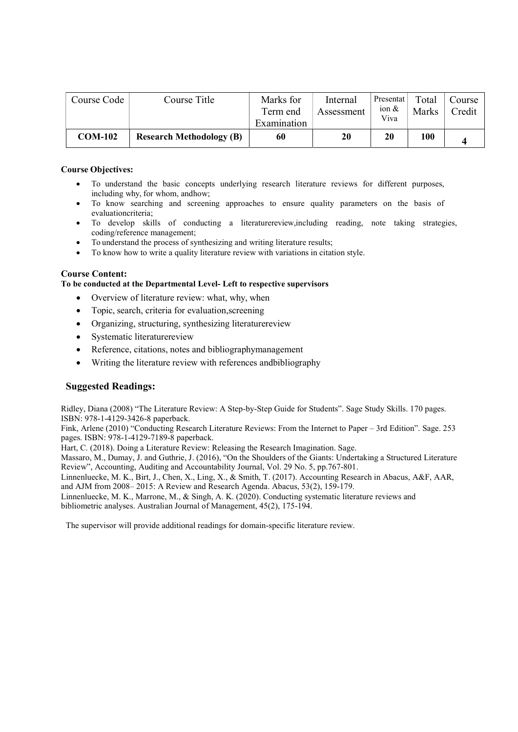| Course Code    | Course Title                    | Marks for<br>Term end<br>Examination | Internal<br>Assessment | Presentat<br>ion $\&$<br>Viva | Total<br><b>Marks</b> | Course<br><b>Tredit</b> |
|----------------|---------------------------------|--------------------------------------|------------------------|-------------------------------|-----------------------|-------------------------|
| <b>COM-102</b> | <b>Research Methodology (B)</b> | 60                                   | 20                     | 20                            | <b>100</b>            |                         |

- To understand the basic concepts underlying research literature reviews for different purposes, including why, for whom, andhow;
- To know searching and screening approaches to ensure quality parameters on the basis of evaluationcriteria;
- To develop skills of conducting a literaturereview,including reading, note taking strategies, coding/reference management;
- To understand the process of synthesizing and writing literature results;
- To know how to write a quality literature review with variations in citation style.

# Course Content:

#### To be conducted at the Departmental Level- Left to respective supervisors

- Overview of literature review: what, why, when
- Topic, search, criteria for evaluation, screening
- Organizing, structuring, synthesizing literaturereview
- Systematic literaturereview
- Reference, citations, notes and bibliographymanagement
- Writing the literature review with references andbibliography

# Suggested Readings:

Ridley, Diana (2008) "The Literature Review: A Step-by-Step Guide for Students". Sage Study Skills. 170 pages. ISBN: 978-1-4129-3426-8 paperback.

Fink, Arlene (2010) "Conducting Research Literature Reviews: From the Internet to Paper – 3rd Edition". Sage. 253 pages. ISBN: 978-1-4129-7189-8 paperback.

Hart, C. (2018). Doing a Literature Review: Releasing the Research Imagination. Sage.

Massaro, M., Dumay, J. and Guthrie, J. (2016), "On the Shoulders of the Giants: Undertaking a Structured Literature Review", Accounting, Auditing and Accountability Journal, Vol. 29 No. 5, pp.767-801.

Linnenluecke, M. K., Birt, J., Chen, X., Ling, X., & Smith, T. (2017). Accounting Research in Abacus, A&F, AAR, and AJM from 2008– 2015: A Review and Research Agenda. Abacus, 53(2), 159-179.

Linnenluecke, M. K., Marrone, M., & Singh, A. K. (2020). Conducting systematic literature reviews and bibliometric analyses. Australian Journal of Management, 45(2), 175-194.

The supervisor will provide additional readings for domain-specific literature review.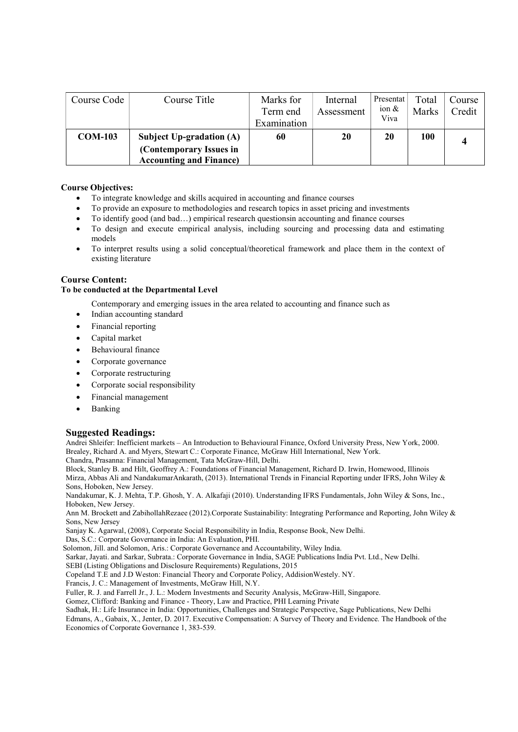| Course Code    | Course Title                                                                                 | Marks for<br>Term end<br>Examination | Internal<br>Assessment | Presentat<br>ion $\&$<br>Viva | Total<br>Marks | Course<br>Credit |
|----------------|----------------------------------------------------------------------------------------------|--------------------------------------|------------------------|-------------------------------|----------------|------------------|
| <b>COM-103</b> | <b>Subject Up-gradation (A)</b><br>(Contemporary Issues in<br><b>Accounting and Finance)</b> | 60                                   | 20                     | 20                            | 100            |                  |

- To integrate knowledge and skills acquired in accounting and finance courses
- To provide an exposure to methodologies and research topics in asset pricing and investments
- To identify good (and bad…) empirical research questionsin accounting and finance courses
- To design and execute empirical analysis, including sourcing and processing data and estimating models
- To interpret results using a solid conceptual/theoretical framework and place them in the context of existing literature

#### Course Content:

#### To be conducted at the Departmental Level

Contemporary and emerging issues in the area related to accounting and finance such as

- Indian accounting standard
- Financial reporting
- Capital market
- Behavioural finance
- Corporate governance
- Corporate restructuring
- Corporate social responsibility
- Financial management
- Banking

# Suggested Readings:

Andrei Shleifer: Inefficient markets – An Introduction to Behavioural Finance, Oxford University Press, New York, 2000. Brealey, Richard A. and Myers, Stewart C.: Corporate Finance, McGraw Hill International, New York.

Chandra, Prasanna: Financial Management, Tata McGraw-Hill, Delhi.

Block, Stanley B. and Hilt, Geoffrey A.: Foundations of Financial Management, Richard D. Irwin, Homewood, Illinois Mirza, Abbas Ali and NandakumarAnkarath, (2013). International Trends in Financial Reporting under IFRS, John Wiley & Sons, Hoboken, New Jersey.

Nandakumar, K. J. Mehta, T.P. Ghosh, Y. A. Alkafaji (2010). Understanding IFRS Fundamentals, John Wiley & Sons, Inc., Hoboken, New Jersey.

Ann M. Brockett and ZabihollahRezaee (2012).Corporate Sustainability: Integrating Performance and Reporting, John Wiley & Sons, New Jersey

Sanjay K. Agarwal, (2008), Corporate Social Responsibility in India, Response Book, New Delhi.

Das, S.C.: Corporate Governance in India: An Evaluation, PHI.

Solomon, Jill. and Solomon, Aris.: Corporate Governance and Accountability, Wiley India.

Sarkar, Jayati. and Sarkar, Subrata.: Corporate Governance in India, SAGE Publications India Pvt. Ltd., New Delhi.

SEBI (Listing Obligations and Disclosure Requirements) Regulations, 2015

Copeland T.E and J.D Weston: Financial Theory and Corporate Policy, AddisionWestely. NY.

Francis, J. C.: Management of Investments, McGraw Hill, N.Y.

Fuller, R. J. and Farrell Jr., J. L.: Modern Investments and Security Analysis, McGraw-Hill, Singapore.

Gomez, Clifford: Banking and Finance - Theory, Law and Practice, PHI Learning Private

Sadhak, H.: Life Insurance in India: Opportunities, Challenges and Strategic Perspective, Sage Publications, New Delhi Edmans, A., Gabaix, X., Jenter, D. 2017. Executive Compensation: A Survey of Theory and Evidence. The Handbook of the Economics of Corporate Governance 1, 383-539.